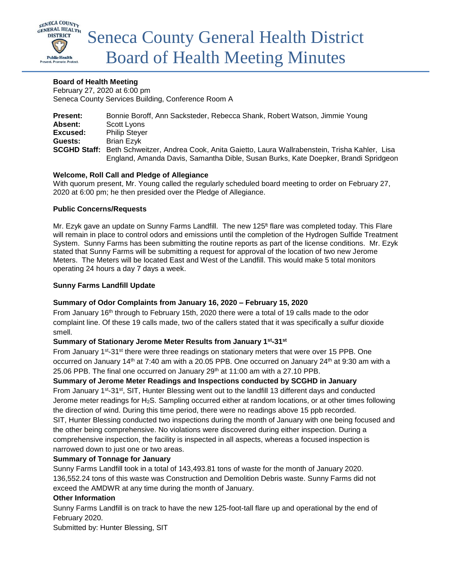

### **Board of Health Meeting**

February 27, 2020 at 6:00 pm Seneca County Services Building, Conference Room A

| <b>Present:</b> | Bonnie Boroff, Ann Sacksteder, Rebecca Shank, Robert Watson, Jimmie Young                           |
|-----------------|-----------------------------------------------------------------------------------------------------|
| Absent:         | Scott Lyons                                                                                         |
| Excused:        | <b>Philip Steyer</b>                                                                                |
| Guests:         | <b>Brian Ezvk</b>                                                                                   |
|                 | SCGHD Staff: Beth Schweitzer, Andrea Cook, Anita Gaietto, Laura Wallrabenstein, Trisha Kahler, Lisa |
|                 | England, Amanda Davis, Samantha Dible, Susan Burks, Kate Doepker, Brandi Spridgeon                  |

### **Welcome, Roll Call and Pledge of Allegiance**

With quorum present, Mr. Young called the regularly scheduled board meeting to order on February 27, 2020 at 6:00 pm; he then presided over the Pledge of Allegiance.

### **Public Concerns/Requests**

Mr. Ezyk gave an update on Sunny Farms Landfill. The new 125<sup>ft</sup> flare was completed today. This Flare will remain in place to control odors and emissions until the completion of the Hydrogen Sulfide Treatment System. Sunny Farms has been submitting the routine reports as part of the license conditions. Mr. Ezyk stated that Sunny Farms will be submitting a request for approval of the location of two new Jerome Meters. The Meters will be located East and West of the Landfill. This would make 5 total monitors operating 24 hours a day 7 days a week.

### **Sunny Farms Landfill Update**

### **Summary of Odor Complaints from January 16, 2020 – February 15, 2020**

From January 16<sup>th</sup> through to February 15th, 2020 there were a total of 19 calls made to the odor complaint line. Of these 19 calls made, two of the callers stated that it was specifically a sulfur dioxide smell.

### **Summary of Stationary Jerome Meter Results from January 1st -31st**

From January 1<sup>st</sup>-31<sup>st</sup> there were three readings on stationary meters that were over 15 PPB. One occurred on January 14<sup>th</sup> at 7:40 am with a 20.05 PPB. One occurred on January 24<sup>th</sup> at 9:30 am with a 25.06 PPB. The final one occurred on January  $29<sup>th</sup>$  at 11:00 am with a 27.10 PPB.

### **Summary of Jerome Meter Readings and Inspections conducted by SCGHD in January**

From January 1st-31st, SIT, Hunter Blessing went out to the landfill 13 different days and conducted Jerome meter readings for H2S. Sampling occurred either at random locations, or at other times following the direction of wind. During this time period, there were no readings above 15 ppb recorded. SIT, Hunter Blessing conducted two inspections during the month of January with one being focused and the other being comprehensive. No violations were discovered during either inspection. During a comprehensive inspection, the facility is inspected in all aspects, whereas a focused inspection is narrowed down to just one or two areas.

# **Summary of Tonnage for January**

Sunny Farms Landfill took in a total of 143,493.81 tons of waste for the month of January 2020. 136,552.24 tons of this waste was Construction and Demolition Debris waste. Sunny Farms did not exceed the AMDWR at any time during the month of January.

### **Other Information**

Sunny Farms Landfill is on track to have the new 125-foot-tall flare up and operational by the end of February 2020.

Submitted by: Hunter Blessing, SIT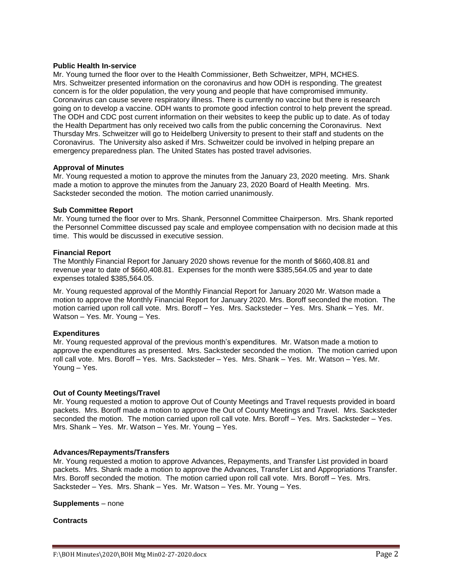#### **Public Health In-service**

Mr. Young turned the floor over to the Health Commissioner, Beth Schweitzer, MPH, MCHES. Mrs. Schweitzer presented information on the coronavirus and how ODH is responding. The greatest concern is for the older population, the very young and people that have compromised immunity. Coronavirus can cause severe respiratory illness. There is currently no vaccine but there is research going on to develop a vaccine. ODH wants to promote good infection control to help prevent the spread. The ODH and CDC post current information on their websites to keep the public up to date. As of today the Health Department has only received two calls from the public concerning the Coronavirus. Next Thursday Mrs. Schweitzer will go to Heidelberg University to present to their staff and students on the Coronavirus. The University also asked if Mrs. Schweitzer could be involved in helping prepare an emergency preparedness plan. The United States has posted travel advisories.

#### **Approval of Minutes**

Mr. Young requested a motion to approve the minutes from the January 23, 2020 meeting. Mrs. Shank made a motion to approve the minutes from the January 23, 2020 Board of Health Meeting. Mrs. Sacksteder seconded the motion. The motion carried unanimously.

#### **Sub Committee Report**

Mr. Young turned the floor over to Mrs. Shank, Personnel Committee Chairperson. Mrs. Shank reported the Personnel Committee discussed pay scale and employee compensation with no decision made at this time. This would be discussed in executive session.

#### **Financial Report**

The Monthly Financial Report for January 2020 shows revenue for the month of \$660,408.81 and revenue year to date of \$660,408.81. Expenses for the month were \$385,564.05 and year to date expenses totaled \$385,564.05.

Mr. Young requested approval of the Monthly Financial Report for January 2020 Mr. Watson made a motion to approve the Monthly Financial Report for January 2020. Mrs. Boroff seconded the motion. The motion carried upon roll call vote. Mrs. Boroff – Yes. Mrs. Sacksteder – Yes. Mrs. Shank – Yes. Mr. Watson – Yes. Mr. Young – Yes.

#### **Expenditures**

Mr. Young requested approval of the previous month's expenditures. Mr. Watson made a motion to approve the expenditures as presented. Mrs. Sacksteder seconded the motion. The motion carried upon roll call vote. Mrs. Boroff – Yes. Mrs. Sacksteder – Yes. Mrs. Shank – Yes. Mr. Watson – Yes. Mr. Young – Yes.

#### **Out of County Meetings/Travel**

Mr. Young requested a motion to approve Out of County Meetings and Travel requests provided in board packets. Mrs. Boroff made a motion to approve the Out of County Meetings and Travel. Mrs. Sacksteder seconded the motion. The motion carried upon roll call vote. Mrs. Boroff – Yes. Mrs. Sacksteder – Yes. Mrs. Shank – Yes. Mr. Watson – Yes. Mr. Young – Yes.

#### **Advances/Repayments/Transfers**

Mr. Young requested a motion to approve Advances, Repayments, and Transfer List provided in board packets. Mrs. Shank made a motion to approve the Advances, Transfer List and Appropriations Transfer. Mrs. Boroff seconded the motion. The motion carried upon roll call vote. Mrs. Boroff – Yes. Mrs. Sacksteder – Yes. Mrs. Shank – Yes. Mr. Watson – Yes. Mr. Young – Yes.

**Supplements** – none

#### **Contracts**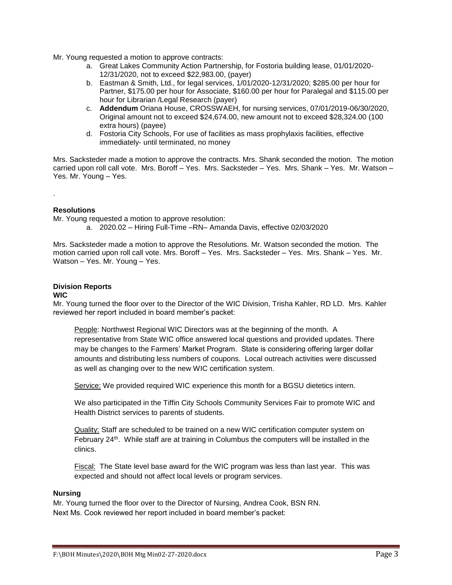Mr. Young requested a motion to approve contracts:

- a. Great Lakes Community Action Partnership, for Fostoria building lease, 01/01/2020- 12/31/2020, not to exceed \$22,983.00, (payer)
- b. Eastman & Smith, Ltd., for legal services, 1/01/2020-12/31/2020; \$285.00 per hour for Partner, \$175.00 per hour for Associate, \$160.00 per hour for Paralegal and \$115.00 per hour for Librarian /Legal Research (payer)
- c. **Addendum** Oriana House, CROSSWAEH, for nursing services, 07/01/2019-06/30/2020, Original amount not to exceed \$24,674.00, new amount not to exceed \$28,324.00 (100 extra hours) (payee)
- d. Fostoria City Schools, For use of facilities as mass prophylaxis facilities, effective immediately- until terminated, no money

Mrs. Sacksteder made a motion to approve the contracts. Mrs. Shank seconded the motion. The motion carried upon roll call vote. Mrs. Boroff – Yes. Mrs. Sacksteder – Yes. Mrs. Shank – Yes. Mr. Watson – Yes. Mr. Young – Yes.

### **Resolutions**

.

Mr. Young requested a motion to approve resolution: a. 2020.02 – Hiring Full-Time –RN– Amanda Davis, effective 02/03/2020

Mrs. Sacksteder made a motion to approve the Resolutions. Mr. Watson seconded the motion. The motion carried upon roll call vote. Mrs. Boroff – Yes. Mrs. Sacksteder – Yes. Mrs. Shank – Yes. Mr. Watson – Yes. Mr. Young – Yes.

# **Division Reports**

### **WIC**

Mr. Young turned the floor over to the Director of the WIC Division, Trisha Kahler, RD LD. Mrs. Kahler reviewed her report included in board member's packet:

People: Northwest Regional WIC Directors was at the beginning of the month. A representative from State WIC office answered local questions and provided updates. There may be changes to the Farmers' Market Program. State is considering offering larger dollar amounts and distributing less numbers of coupons. Local outreach activities were discussed as well as changing over to the new WIC certification system.

Service: We provided required WIC experience this month for a BGSU dietetics intern.

We also participated in the Tiffin City Schools Community Services Fair to promote WIC and Health District services to parents of students.

Quality: Staff are scheduled to be trained on a new WIC certification computer system on February 24<sup>th</sup>. While staff are at training in Columbus the computers will be installed in the clinics.

Fiscal: The State level base award for the WIC program was less than last year. This was expected and should not affect local levels or program services.

#### **Nursing**

Mr. Young turned the floor over to the Director of Nursing, Andrea Cook, BSN RN. Next Ms. Cook reviewed her report included in board member's packet: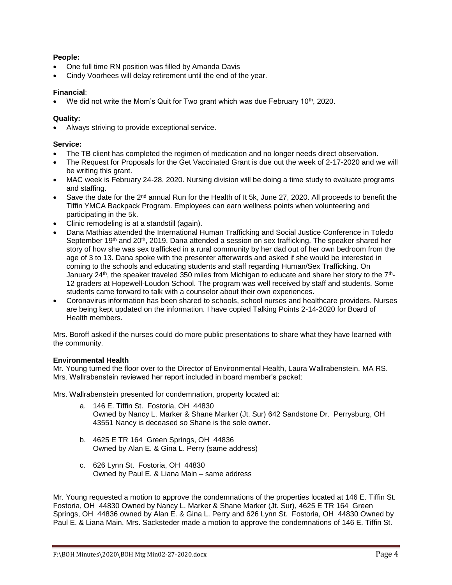# **People:**

- One full time RN position was filled by Amanda Davis
- Cindy Voorhees will delay retirement until the end of the year.

# **Financial**:

We did not write the Mom's Quit for Two grant which was due February  $10<sup>th</sup>$ , 2020.

# **Quality:**

Always striving to provide exceptional service.

# **Service:**

- The TB client has completed the regimen of medication and no longer needs direct observation.
- The Request for Proposals for the Get Vaccinated Grant is due out the week of 2-17-2020 and we will be writing this grant.
- MAC week is February 24-28, 2020. Nursing division will be doing a time study to evaluate programs and staffing.
- Save the date for the 2<sup>nd</sup> annual Run for the Health of It 5k, June 27, 2020. All proceeds to benefit the Tiffin YMCA Backpack Program. Employees can earn wellness points when volunteering and participating in the 5k.
- Clinic remodeling is at a standstill (again).
- Dana Mathias attended the International Human Trafficking and Social Justice Conference in Toledo September 19<sup>th</sup> and 20<sup>th</sup>, 2019. Dana attended a session on sex trafficking. The speaker shared her story of how she was sex trafficked in a rural community by her dad out of her own bedroom from the age of 3 to 13. Dana spoke with the presenter afterwards and asked if she would be interested in coming to the schools and educating students and staff regarding Human/Sex Trafficking. On January 24<sup>th</sup>, the speaker traveled 350 miles from Michigan to educate and share her story to the 7<sup>th</sup>-12 graders at Hopewell-Loudon School. The program was well received by staff and students. Some students came forward to talk with a counselor about their own experiences.
- Coronavirus information has been shared to schools, school nurses and healthcare providers. Nurses are being kept updated on the information. I have copied Talking Points 2-14-2020 for Board of Health members.

Mrs. Boroff asked if the nurses could do more public presentations to share what they have learned with the community.

### **Environmental Health**

Mr. Young turned the floor over to the Director of Environmental Health, Laura Wallrabenstein, MA RS. Mrs. Wallrabenstein reviewed her report included in board member's packet:

Mrs. Wallrabenstein presented for condemnation, property located at:

- a. 146 E. Tiffin St. Fostoria, OH 44830 Owned by Nancy L. Marker & Shane Marker (Jt. Sur) 642 Sandstone Dr. Perrysburg, OH 43551 Nancy is deceased so Shane is the sole owner.
- b. 4625 E TR 164 Green Springs, OH 44836 Owned by Alan E. & Gina L. Perry (same address)
- c. 626 Lynn St. Fostoria, OH 44830 Owned by Paul E. & Liana Main – same address

Mr. Young requested a motion to approve the condemnations of the properties located at 146 E. Tiffin St. Fostoria, OH 44830 Owned by Nancy L. Marker & Shane Marker (Jt. Sur), 4625 E TR 164 Green Springs, OH 44836 owned by Alan E. & Gina L. Perry and 626 Lynn St. Fostoria, OH 44830 Owned by Paul E. & Liana Main. Mrs. Sacksteder made a motion to approve the condemnations of 146 E. Tiffin St.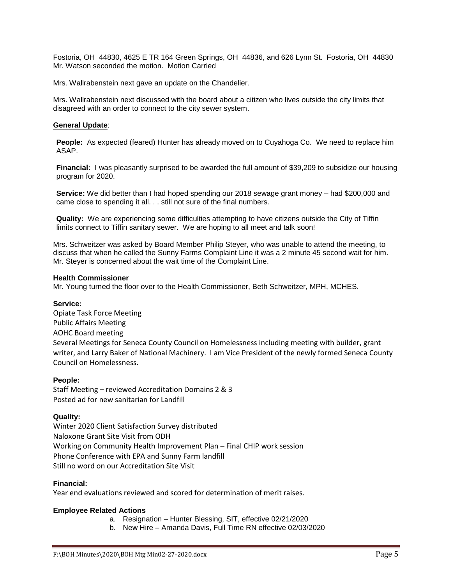Fostoria, OH 44830, 4625 E TR 164 Green Springs, OH 44836, and 626 Lynn St. Fostoria, OH 44830 Mr. Watson seconded the motion. Motion Carried

Mrs. Wallrabenstein next gave an update on the Chandelier.

Mrs. Wallrabenstein next discussed with the board about a citizen who lives outside the city limits that disagreed with an order to connect to the city sewer system.

### **General Update**:

**People:** As expected (feared) Hunter has already moved on to Cuyahoga Co. We need to replace him ASAP.

**Financial:** I was pleasantly surprised to be awarded the full amount of \$39,209 to subsidize our housing program for 2020.

**Service:** We did better than I had hoped spending our 2018 sewage grant money – had \$200,000 and came close to spending it all. . . still not sure of the final numbers.

**Quality:** We are experiencing some difficulties attempting to have citizens outside the City of Tiffin limits connect to Tiffin sanitary sewer. We are hoping to all meet and talk soon!

Mrs. Schweitzer was asked by Board Member Philip Steyer, who was unable to attend the meeting, to discuss that when he called the Sunny Farms Complaint Line it was a 2 minute 45 second wait for him. Mr. Steyer is concerned about the wait time of the Complaint Line.

#### **Health Commissioner**

Mr. Young turned the floor over to the Health Commissioner, Beth Schweitzer, MPH, MCHES.

### **Service:**

Opiate Task Force Meeting Public Affairs Meeting AOHC Board meeting Several Meetings for Seneca County Council on Homelessness including meeting with builder, grant writer, and Larry Baker of National Machinery. I am Vice President of the newly formed Seneca County Council on Homelessness.

### **People:**

Staff Meeting – reviewed Accreditation Domains 2 & 3 Posted ad for new sanitarian for Landfill

### **Quality:**

Winter 2020 Client Satisfaction Survey distributed Naloxone Grant Site Visit from ODH Working on Community Health Improvement Plan – Final CHIP work session Phone Conference with EPA and Sunny Farm landfill Still no word on our Accreditation Site Visit

### **Financial:**

Year end evaluations reviewed and scored for determination of merit raises.

### **Employee Related Actions**

- a. Resignation Hunter Blessing, SIT, effective 02/21/2020
- b. New Hire Amanda Davis, Full Time RN effective 02/03/2020